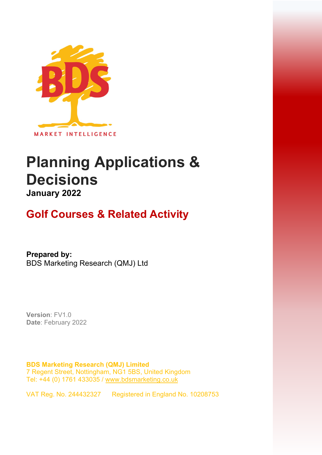

# **Planning Applications & Decisions January 2022**

## **Golf Courses & Related Activity**

**Prepared by:**  BDS Marketing Research (QMJ) Ltd

**Version**: FV1.0 **Date**: February 2022

**BDS Marketing Research (QMJ) Limited**  7 Regent Street, Nottingham, NG1 5BS, United Kingdom Tel: +44 (0) 1761 433035 / [www.bdsmarketing.co.uk](http://www.bdsmarketing.co.uk/)

VAT Reg. No. 244432327 Registered in England No. 10208753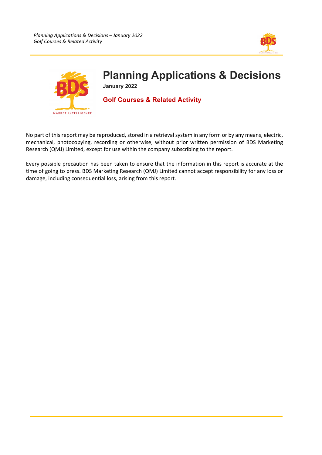



# **Planning Applications & Decisions**

**January 2022** 

### **Golf Courses & Related Activity**

No part of this report may be reproduced, stored in a retrieval system in any form or by any means, electric, mechanical, photocopying, recording or otherwise, without prior written permission of BDS Marketing Research (QMJ) Limited, except for use within the company subscribing to the report.

Every possible precaution has been taken to ensure that the information in this report is accurate at the time of going to press. BDS Marketing Research (QMJ) Limited cannot accept responsibility for any loss or damage, including consequential loss, arising from this report.